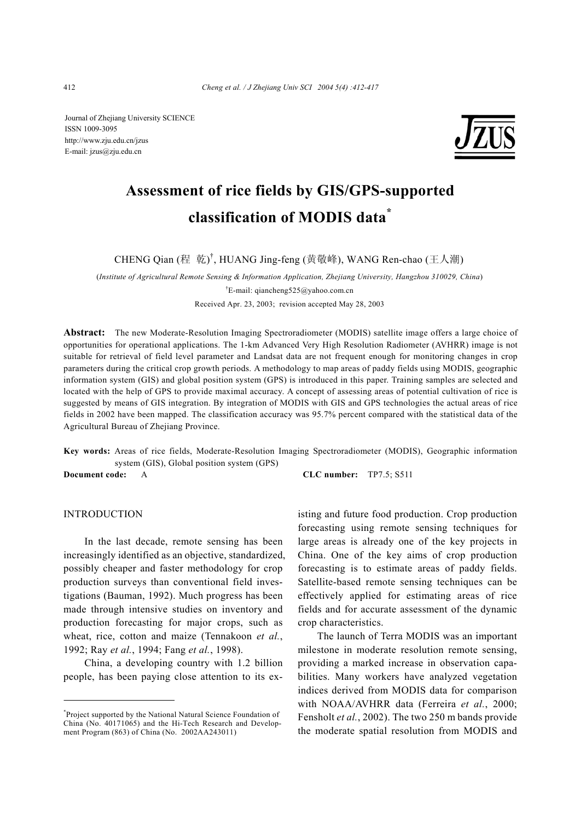Journal of Zhejiang University SCIENCE ISSN 1009-3095 http://www.zju.edu.cn/jzus E-mail: jzus@zju.edu.cn



# **Assessment of rice fields by GIS/GPS-supported classification of MODIS data\***

CHENG Qian (程 乾) † , HUANG Jing-feng (黄敬峰), WANG Ren-chao (王人潮)

(*Institute of Agricultural Remote Sensing & Information Application, Zhejiang University, Hangzhou 310029, China*) † E-mail: qiancheng525@yahoo.com.cn Received Apr. 23, 2003; revision accepted May 28, 2003

**Abstract:** The new Moderate-Resolution Imaging Spectroradiometer (MODIS) satellite image offers a large choice of opportunities for operational applications. The 1-km Advanced Very High Resolution Radiometer (AVHRR) image is not suitable for retrieval of field level parameter and Landsat data are not frequent enough for monitoring changes in crop parameters during the critical crop growth periods. A methodology to map areas of paddy fields using MODIS, geographic information system (GIS) and global position system (GPS) is introduced in this paper. Training samples are selected and located with the help of GPS to provide maximal accuracy. A concept of assessing areas of potential cultivation of rice is suggested by means of GIS integration. By integration of MODIS with GIS and GPS technologies the actual areas of rice fields in 2002 have been mapped. The classification accuracy was 95.7% percent compared with the statistical data of the Agricultural Bureau of Zhejiang Province.

**Key words:** Areas of rice fields, Moderate-Resolution Imaging Spectroradiometer (MODIS), Geographic information system (GIS), Global position system (GPS)

**Document code:** A **CLC number:** TP7.5; S511

### INTRODUCTION

In the last decade, remote sensing has been increasingly identified as an objective, standardized, possibly cheaper and faster methodology for crop production surveys than conventional field investigations (Bauman, 1992). Much progress has been made through intensive studies on inventory and production forecasting for major crops, such as wheat, rice, cotton and maize (Tennakoon *et al.*, 1992; Ray *et al.*, 1994; Fang *et al.*, 1998).

China, a developing country with 1.2 billion people, has been paying close attention to its ex-

\* Project supported by the National Natural Science Foundation of China (No. 40171065) and the Hi-Tech Research and Development Program (863) of China (No. 2002AA243011)

isting and future food production. Crop production forecasting using remote sensing techniques for large areas is already one of the key projects in China. One of the key aims of crop production forecasting is to estimate areas of paddy fields. Satellite-based remote sensing techniques can be effectively applied for estimating areas of rice fields and for accurate assessment of the dynamic crop characteristics.

The launch of Terra MODIS was an important milestone in moderate resolution remote sensing, providing a marked increase in observation capabilities. Many workers have analyzed vegetation indices derived from MODIS data for comparison with NOAA/AVHRR data (Ferreira *et al.*, 2000; Fensholt *et al.*, 2002). The two 250 m bands provide the moderate spatial resolution from MODIS and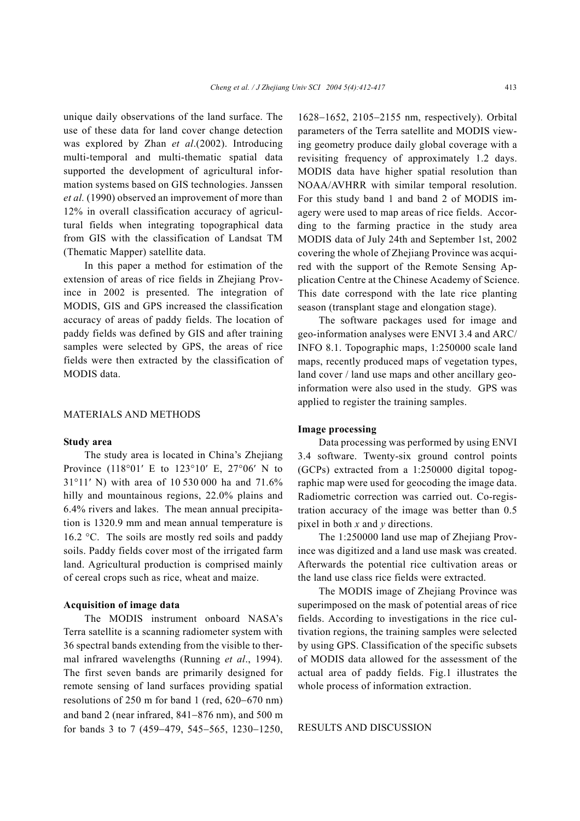unique daily observations of the land surface. The use of these data for land cover change detection was explored by Zhan *et al*.(2002). Introducing multi-temporal and multi-thematic spatial data supported the development of agricultural information systems based on GIS technologies. Janssen *et al.* (1990) observed an improvement of more than 12% in overall classification accuracy of agricultural fields when integrating topographical data from GIS with the classification of Landsat TM (Thematic Mapper) satellite data.

In this paper a method for estimation of the extension of areas of rice fields in Zhejiang Province in 2002 is presented. The integration of MODIS, GIS and GPS increased the classification accuracy of areas of paddy fields. The location of paddy fields was defined by GIS and after training samples were selected by GPS, the areas of rice fields were then extracted by the classification of MODIS data.

## MATERIALS AND METHODS

#### **Study area**

The study area is located in China's Zhejiang Province (118°01′ E to 123°10′ E, 27°06′ N to 31°11′ N) with area of 10 530 000 ha and 71.6% hilly and mountainous regions, 22.0% plains and 6.4% rivers and lakes. The mean annual precipitation is 1320.9 mm and mean annual temperature is 16.2 °C. The soils are mostly red soils and paddy soils. Paddy fields cover most of the irrigated farm land. Agricultural production is comprised mainly of cereal crops such as rice, wheat and maize.

## **Acquisition of image data**

The MODIS instrument onboard NASA's Terra satellite is a scanning radiometer system with 36 spectral bands extending from the visible to thermal infrared wavelengths (Running *et al*., 1994). The first seven bands are primarily designed for remote sensing of land surfaces providing spatial resolutions of 250 m for band 1 (red, 620−670 nm) and band 2 (near infrared, 841−876 nm), and 500 m for bands 3 to 7 (459−479, 545−565, 1230−1250, 1628−1652, 2105−2155 nm, respectively). Orbital parameters of the Terra satellite and MODIS viewing geometry produce daily global coverage with a revisiting frequency of approximately 1.2 days. MODIS data have higher spatial resolution than NOAA/AVHRR with similar temporal resolution. For this study band 1 and band 2 of MODIS imagery were used to map areas of rice fields. According to the farming practice in the study area MODIS data of July 24th and September 1st, 2002 covering the whole of Zhejiang Province was acquired with the support of the Remote Sensing Application Centre at the Chinese Academy of Science. This date correspond with the late rice planting season (transplant stage and elongation stage).

The software packages used for image and geo-information analyses were ENVI 3.4 and ARC/ INFO 8.1. Topographic maps, 1:250000 scale land maps, recently produced maps of vegetation types, land cover / land use maps and other ancillary geoinformation were also used in the study. GPS was applied to register the training samples.

#### **Image processing**

Data processing was performed by using ENVI 3.4 software. Twenty-six ground control points (GCPs) extracted from a 1:250000 digital topographic map were used for geocoding the image data. Radiometric correction was carried out. Co-registration accuracy of the image was better than 0.5 pixel in both *x* and *y* directions.

The 1:250000 land use map of Zhejiang Province was digitized and a land use mask was created. Afterwards the potential rice cultivation areas or the land use class rice fields were extracted.

The MODIS image of Zhejiang Province was superimposed on the mask of potential areas of rice fields. According to investigations in the rice cultivation regions, the training samples were selected by using GPS. Classification of the specific subsets of MODIS data allowed for the assessment of the actual area of paddy fields. Fig.1 illustrates the whole process of information extraction.

RESULTS AND DISCUSSION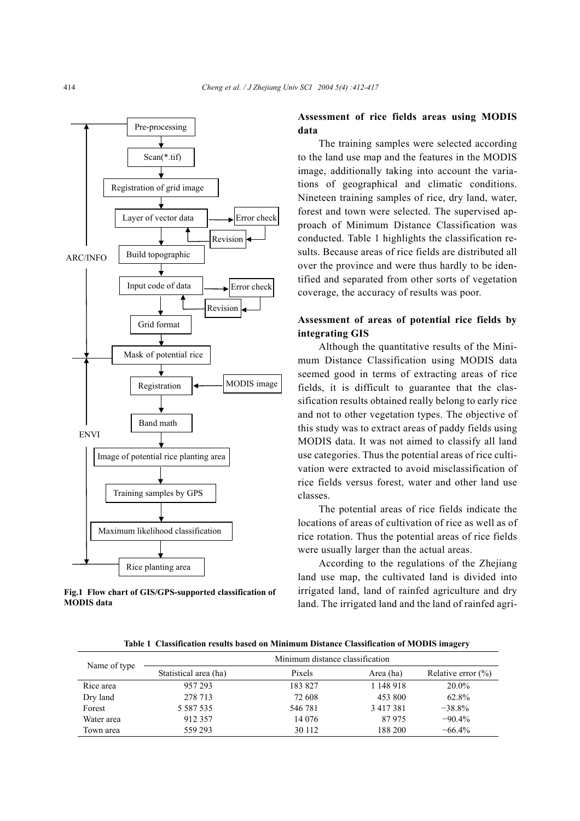

**Fig.1 Flow chart of GIS/GPS-supported classification of MODIS data**

# **Assessment of rice fields areas using MODIS data**

The training samples were selected according to the land use map and the features in the MODIS image, additionally taking into account the variations of geographical and climatic conditions. Nineteen training samples of rice, dry land, water, forest and town were selected. The supervised approach of Minimum Distance Classification was conducted. Table 1 highlights the classification results. Because areas of rice fields are distributed all over the province and were thus hardly to be identified and separated from other sorts of vegetation coverage, the accuracy of results was poor.

# **Assessment of areas of potential rice fields by integrating GIS**

Although the quantitative results of the Minimum Distance Classification using MODIS data seemed good in terms of extracting areas of rice fields, it is difficult to guarantee that the classification results obtained really belong to early rice and not to other vegetation types. The objective of this study was to extract areas of paddy fields using MODIS data. It was not aimed to classify all land use categories. Thus the potential areas of rice cultivation were extracted to avoid misclassification of rice fields versus forest, water and other land use classes.

The potential areas of rice fields indicate the locations of areas of cultivation of rice as well as of rice rotation. Thus the potential areas of rice fields were usually larger than the actual areas.

According to the regulations of the Zhejiang land use map, the cultivated land is divided into irrigated land, land of rainfed agriculture and dry land. The irrigated land and the land of rainfed agri-

**Table 1 Classification results based on Minimum Distance Classification of MODIS imagery** 

| Name of type | Minimum distance classification |         |               |                        |
|--------------|---------------------------------|---------|---------------|------------------------|
|              | Statistical area (ha)           | Pixels  | Area (ha)     | Relative error $(\% )$ |
| Rice area    | 957 293                         | 183 827 | 1 148 918     | 20.0%                  |
| Dry land     | 278 713                         | 72 608  | 453 800       | 62.8%                  |
| Forest       | 5 5 8 7 5 3 5                   | 546 781 | 3 4 1 7 3 8 1 | $-38.8\%$              |
| Water area   | 912 357                         | 14 0 76 | 87975         | $-90.4%$               |
| Town area    | 559 293                         | 30 112  | 188 200       | $-66.4\%$              |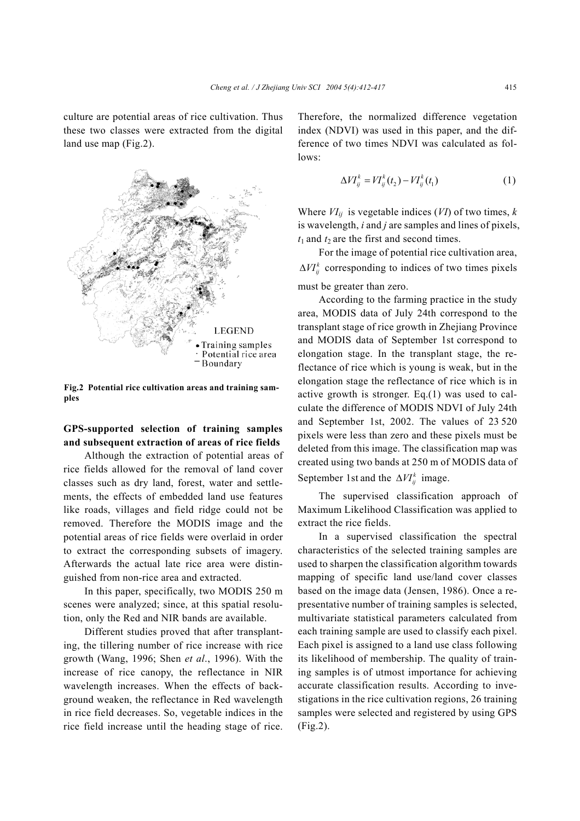culture are potential areas of rice cultivation. Thus these two classes were extracted from the digital land use map (Fig.2).



**Fig.2 Potential rice cultivation areas and training samples**

# **GPS-supported selection of training samples and subsequent extraction of areas of rice fields**

Although the extraction of potential areas of rice fields allowed for the removal of land cover classes such as dry land, forest, water and settlements, the effects of embedded land use features like roads, villages and field ridge could not be removed. Therefore the MODIS image and the potential areas of rice fields were overlaid in order to extract the corresponding subsets of imagery. Afterwards the actual late rice area were distinguished from non-rice area and extracted.

In this paper, specifically, two MODIS 250 m scenes were analyzed; since, at this spatial resolution, only the Red and NIR bands are available.

Different studies proved that after transplanting, the tillering number of rice increase with rice growth (Wang, 1996; Shen *et al*., 1996). With the increase of rice canopy, the reflectance in NIR wavelength increases. When the effects of background weaken, the reflectance in Red wavelength in rice field decreases. So, vegetable indices in the rice field increase until the heading stage of rice. Therefore, the normalized difference vegetation index (NDVI) was used in this paper, and the difference of two times NDVI was calculated as follows:

$$
\Delta V I_{ij}^k = V I_{ij}^k(t_2) - V I_{ij}^k(t_1) \tag{1}
$$

Where *VIij* is vegetable indices (*VI*) of two times, *k* is wavelength, *i* and *j* are samples and lines of pixels,  $t_1$  and  $t_2$  are the first and second times.

For the image of potential rice cultivation area,  $\Delta V I_{ii}^{k}$  corresponding to indices of two times pixels must be greater than zero.

According to the farming practice in the study area, MODIS data of July 24th correspond to the transplant stage of rice growth in Zhejiang Province and MODIS data of September 1st correspond to elongation stage. In the transplant stage, the reflectance of rice which is young is weak, but in the elongation stage the reflectance of rice which is in active growth is stronger. Eq.(1) was used to calculate the difference of MODIS NDVI of July 24th and September 1st, 2002. The values of 23 520 pixels were less than zero and these pixels must be deleted from this image. The classification map was created using two bands at 250 m of MODIS data of September 1st and the  $\Delta V I_{ii}^{k}$  image.

The supervised classification approach of Maximum Likelihood Classification was applied to extract the rice fields.

In a supervised classification the spectral characteristics of the selected training samples are used to sharpen the classification algorithm towards mapping of specific land use/land cover classes based on the image data (Jensen, 1986). Once a representative number of training samples is selected, multivariate statistical parameters calculated from each training sample are used to classify each pixel. Each pixel is assigned to a land use class following its likelihood of membership. The quality of training samples is of utmost importance for achieving accurate classification results. According to investigations in the rice cultivation regions, 26 training samples were selected and registered by using GPS (Fig.2).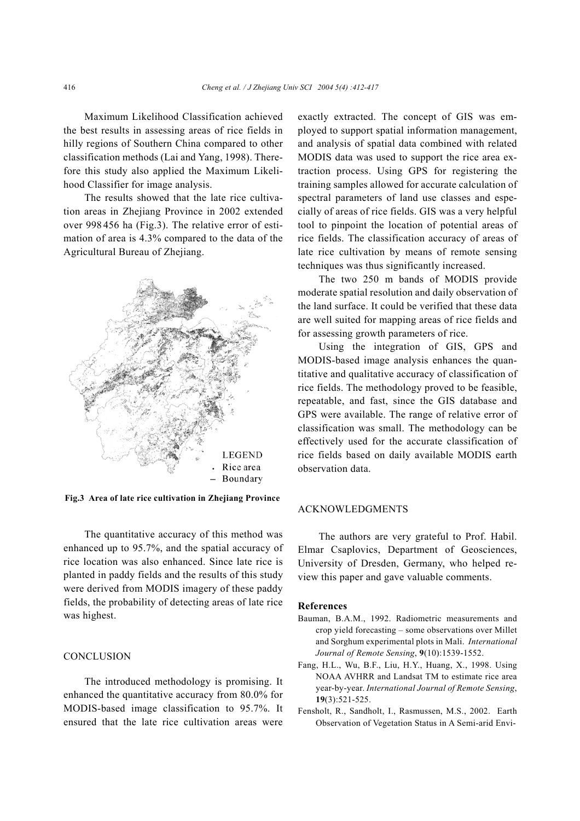Maximum Likelihood Classification achieved the best results in assessing areas of rice fields in hilly regions of Southern China compared to other classification methods (Lai and Yang, 1998). Therefore this study also applied the Maximum Likelihood Classifier for image analysis.

The results showed that the late rice cultivation areas in Zhejiang Province in 2002 extended over 998 456 ha (Fig.3). The relative error of estimation of area is 4.3% compared to the data of the Agricultural Bureau of Zhejiang.



**Fig.3 Area of late rice cultivation in Zhejiang Province**

The quantitative accuracy of this method was enhanced up to 95.7%, and the spatial accuracy of rice location was also enhanced. Since late rice is planted in paddy fields and the results of this study were derived from MODIS imagery of these paddy fields, the probability of detecting areas of late rice was highest.

# **CONCLUSION**

The introduced methodology is promising. It enhanced the quantitative accuracy from 80.0% for MODIS-based image classification to 95.7%. It ensured that the late rice cultivation areas were exactly extracted. The concept of GIS was employed to support spatial information management, and analysis of spatial data combined with related MODIS data was used to support the rice area extraction process. Using GPS for registering the training samples allowed for accurate calculation of spectral parameters of land use classes and especially of areas of rice fields. GIS was a very helpful tool to pinpoint the location of potential areas of rice fields. The classification accuracy of areas of late rice cultivation by means of remote sensing techniques was thus significantly increased.

The two 250 m bands of MODIS provide moderate spatial resolution and daily observation of the land surface. It could be verified that these data are well suited for mapping areas of rice fields and for assessing growth parameters of rice.

Using the integration of GIS, GPS and MODIS-based image analysis enhances the quantitative and qualitative accuracy of classification of rice fields. The methodology proved to be feasible, repeatable, and fast, since the GIS database and GPS were available. The range of relative error of classification was small. The methodology can be effectively used for the accurate classification of rice fields based on daily available MODIS earth observation data.

### ACKNOWLEDGMENTS

The authors are very grateful to Prof. Habil. Elmar Csaplovics, Department of Geosciences, University of Dresden, Germany, who helped review this paper and gave valuable comments.

#### **References**

- Bauman, B.A.M., 1992. Radiometric measurements and crop yield forecasting – some observations over Millet and Sorghum experimental plots in Mali. *International Journal of Remote Sensing*, **9**(10):1539-1552.
- Fang, H.L., Wu, B.F., Liu, H.Y., Huang, X., 1998. Using NOAA AVHRR and Landsat TM to estimate rice area year-by-year. *International Journal of Remote Sensing*, **19**(3):521-525.
- Fensholt, R., Sandholt, I., Rasmussen, M.S., 2002. Earth Observation of Vegetation Status in A Semi-arid Envi-